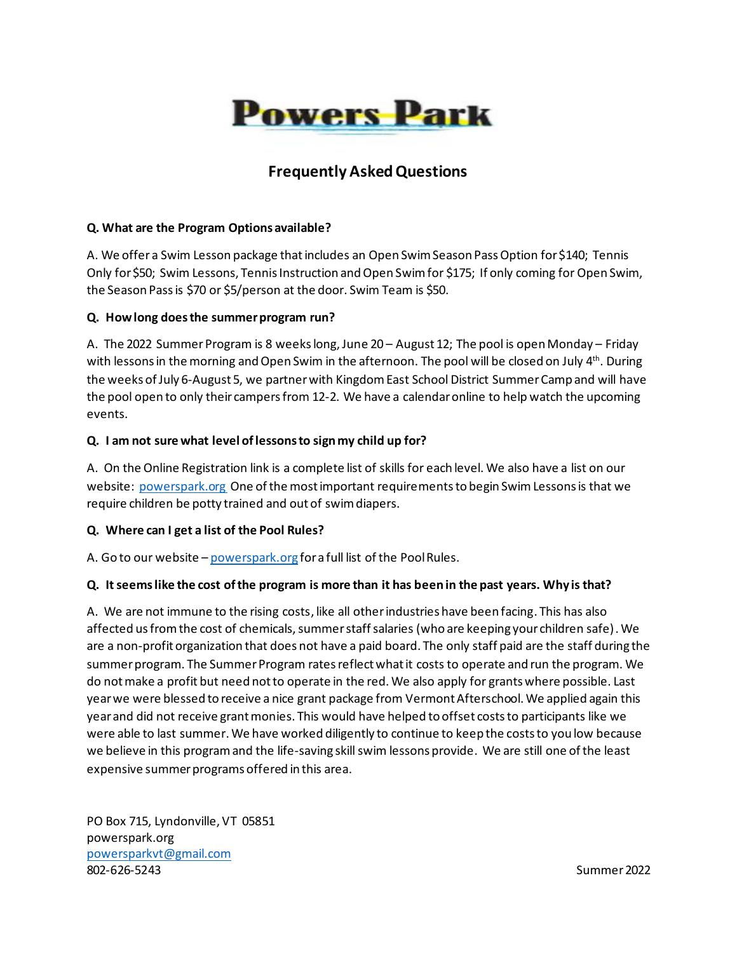

# **Frequently Asked Questions**

#### **Q. What are the Program Options available?**

A. We offer a Swim Lesson package that includes an Open Swim Season Pass Option for \$140; Tennis Only for \$50; Swim Lessons, Tennis Instruction and Open Swim for \$175; If only coming for Open Swim, the Season Pass is \$70 or \$5/person at the door. Swim Team is \$50.

#### **Q. How long does the summer program run?**

A. The 2022 Summer Program is 8 weeks long, June 20 – August 12; The pool is open Monday – Friday with lessons in the morning and Open Swim in the afternoon. The pool will be closed on July  $4^{\text{th}}$ . During the weeks of July 6-August 5, we partner with Kingdom East School District Summer Camp and will have the pool open to only their campers from 12-2. We have a calendar online to help watch the upcoming events.

#### **Q. I am not sure what level of lessons to sign my child up for?**

A. On the Online Registration link is a complete list of skills for each level. We also have a list on our website:<powerspark.org>One of the most important requirements to begin Swim Lessons is that we require children be potty trained and out of swim diapers.

#### **Q. Where can I get a list of the Pool Rules?**

A. Go to our website - <powerspark.org> for a full list of the Pool Rules.

#### **Q. It seems like the cost of the program is more than it has been in the past years. Why is that?**

A. We are not immune to the rising costs, like all other industries have been facing. This has also affected us from the cost of chemicals, summer staff salaries (who are keeping your children safe). We are a non-profit organization that does not have a paid board. The only staff paid are the staff during the summer program. The Summer Program rates reflect what it costs to operate and run the program. We do not make a profit but need not to operate in the red. We also apply for grants where possible. Last year we were blessed to receive a nice grant package from Vermont Afterschool. We applied again this year and did not receive grant monies. This would have helped to offset coststo participants like we were able to last summer. We have worked diligently to continue to keep the costs to you low because we believe in this program and the life-saving skill swim lessons provide. We are still one of the least expensive summer programs offered in this area.

PO Box 715, Lyndonville, VT 05851 powerspark.org [powersparkvt@gmail.com](mailto:powersparkvt@gmail.com) 802-626-5243 Summer 2022